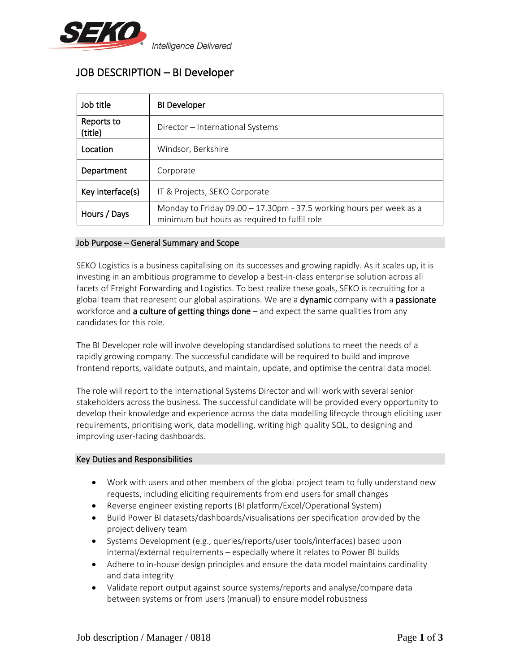

# JOB DESCRIPTION – BI Developer

| Job title             | <b>BI Developer</b>                                                                                                   |  |
|-----------------------|-----------------------------------------------------------------------------------------------------------------------|--|
| Reports to<br>(title) | Director – International Systems                                                                                      |  |
| Location              | Windsor, Berkshire                                                                                                    |  |
| Department            | Corporate                                                                                                             |  |
| Key interface(s)      | IT & Projects, SEKO Corporate                                                                                         |  |
| Hours / Days          | Monday to Friday 09.00 $-$ 17.30pm - 37.5 working hours per week as a<br>minimum but hours as required to fulfil role |  |

## Job Purpose – General Summary and Scope

SEKO Logistics is a business capitalising on its successes and growing rapidly. As it scales up, it is investing in an ambitious programme to develop a best-in-class enterprise solution across all facets of Freight Forwarding and Logistics. To best realize these goals, SEKO is recruiting for a global team that represent our global aspirations. We are a **dynamic** company with a **passionate** workforce and **a culture of getting things done**  $-$  and expect the same qualities from any candidates for this role.

The BI Developer role will involve developing standardised solutions to meet the needs of a rapidly growing company. The successful candidate will be required to build and improve frontend reports, validate outputs, and maintain, update, and optimise the central data model.

The role will report to the International Systems Director and will work with several senior stakeholders across the business. The successful candidate will be provided every opportunity to develop their knowledge and experience across the data modelling lifecycle through eliciting user requirements, prioritising work, data modelling, writing high quality SQL, to designing and improving user-facing dashboards.

## Key Duties and Responsibilities

- Work with users and other members of the global project team to fully understand new requests, including eliciting requirements from end users for small changes
- Reverse engineer existing reports (BI platform/Excel/Operational System)
- Build Power BI datasets/dashboards/visualisations per specification provided by the project delivery team
- Systems Development (e.g., queries/reports/user tools/interfaces) based upon internal/external requirements – especially where it relates to Power BI builds
- Adhere to in-house design principles and ensure the data model maintains cardinality and data integrity
- Validate report output against source systems/reports and analyse/compare data between systems or from users (manual) to ensure model robustness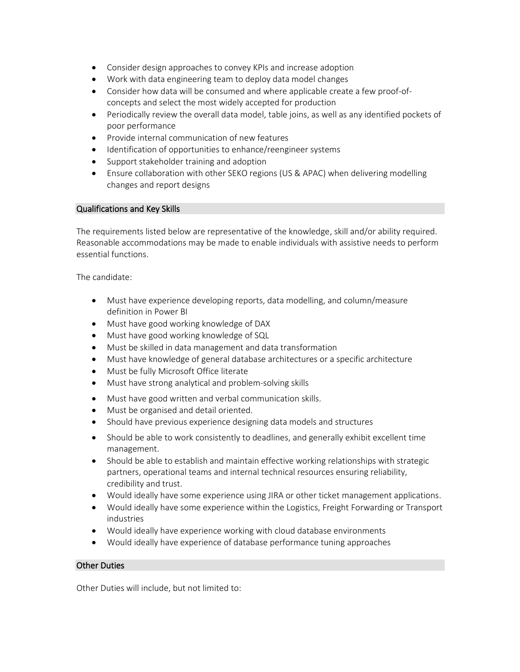- Consider design approaches to convey KPIs and increase adoption
- Work with data engineering team to deploy data model changes
- Consider how data will be consumed and where applicable create a few proof-ofconcepts and select the most widely accepted for production
- Periodically review the overall data model, table joins, as well as any identified pockets of poor performance
- Provide internal communication of new features
- Identification of opportunities to enhance/reengineer systems
- Support stakeholder training and adoption
- Ensure collaboration with other SEKO regions (US & APAC) when delivering modelling changes and report designs

#### Qualifications and Key Skills

The requirements listed below are representative of the knowledge, skill and/or ability required. Reasonable accommodations may be made to enable individuals with assistive needs to perform essential functions.

The candidate:

- Must have experience developing reports, data modelling, and column/measure definition in Power BI
- Must have good working knowledge of DAX
- Must have good working knowledge of SQL
- Must be skilled in data management and data transformation
- Must have knowledge of general database architectures or a specific architecture
- Must be fully Microsoft Office literate
- Must have strong analytical and problem-solving skills
- Must have good written and verbal communication skills.
- Must be organised and detail oriented.
- Should have previous experience designing data models and structures
- Should be able to work consistently to deadlines, and generally exhibit excellent time management.
- Should be able to establish and maintain effective working relationships with strategic partners, operational teams and internal technical resources ensuring reliability, credibility and trust.
- Would ideally have some experience using JIRA or other ticket management applications.
- Would ideally have some experience within the Logistics, Freight Forwarding or Transport industries
- Would ideally have experience working with cloud database environments
- Would ideally have experience of database performance tuning approaches

## Other Duties

Other Duties will include, but not limited to: